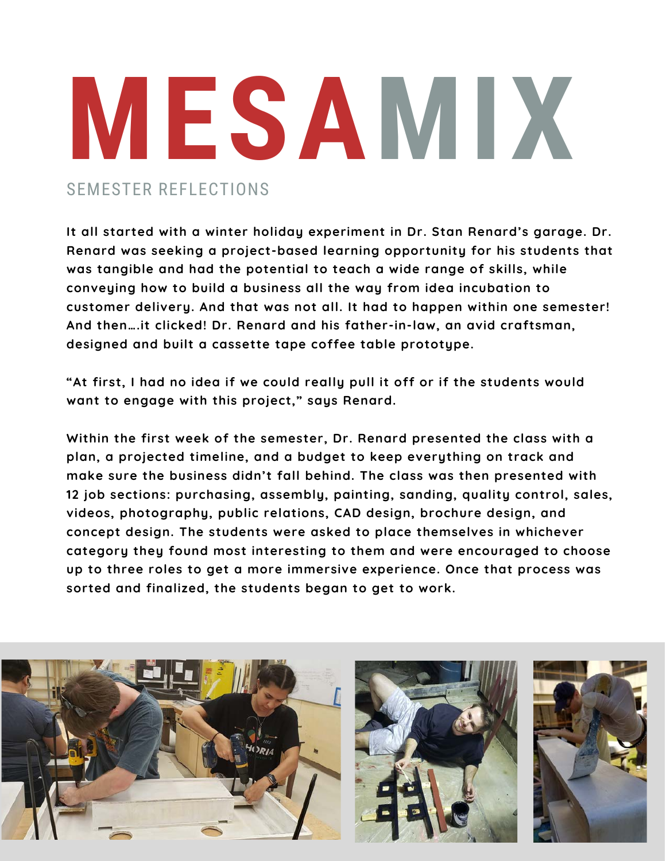## SEMESTER REFLECTIONS **MESAMIX**

**It all started with a winter holiday experiment in Dr. Stan Renard's garage. Dr. Renard was seeking a project-based learning opportunity for his students that was tangible and had the potential to teach a wide range of skills, while conveying how to build a business all the way from idea incubation to customer delivery. And that was not all. It had to happen within one semester! And then….it clicked! Dr. Renard and his father-in-law, an avid craftsman, designed and built a cassette tape coffee table prototype.**

**"At first, I had no idea if we could really pull it off or if the students would want to engage with this project," says Renard.** 

**Within the first week of the semester, Dr. Renard presented the class with a plan, a projected timeline, and a budget to keep everything on track and make sure the business didn't fall behind. The class was then presented with 12 job sections: purchasing, assembly, painting, sanding, quality control, sales, videos, photography, public relations, CAD design, brochure design, and concept design. The students were asked to place themselves in whichever category they found most interesting to them and were encouraged to choose up to three roles to get a more immersive experience. Once that process was sorted and finalized, the students began to get to work.**